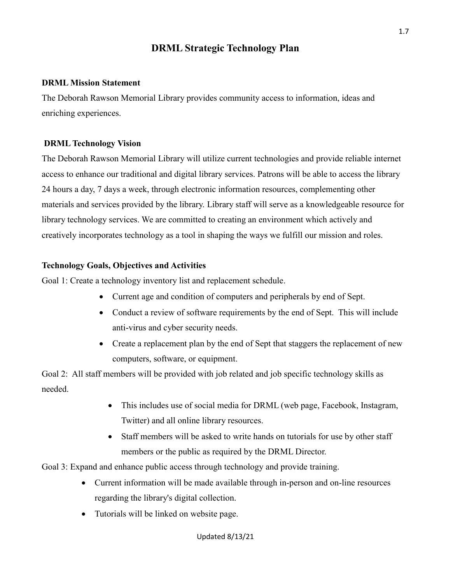## **DRML Strategic Technology Plan**

## **DRML Mission Statement**

The Deborah Rawson Memorial Library provides community access to information, ideas and enriching experiences.

## **DRML Technology Vision**

The Deborah Rawson Memorial Library will utilize current technologies and provide reliable internet access to enhance our traditional and digital library services. Patrons will be able to access the library 24 hours a day, 7 days a week, through electronic information resources, complementing other materials and services provided by the library. Library staff will serve as a knowledgeable resource for library technology services. We are committed to creating an environment which actively and creatively incorporates technology as a tool in shaping the ways we fulfill our mission and roles.

## **Technology Goals, Objectives and Activities**

Goal 1: Create a technology inventory list and replacement schedule.

- Current age and condition of computers and peripherals by end of Sept.
- Conduct a review of software requirements by the end of Sept. This will include anti-virus and cyber security needs.
- Create a replacement plan by the end of Sept that staggers the replacement of new computers, software, or equipment.

Goal 2: All staff members will be provided with job related and job specific technology skills as needed.

- This includes use of social media for DRML (web page, Facebook, Instagram, Twitter) and all online library resources.
- Staff members will be asked to write hands on tutorials for use by other staff members or the public as required by the DRML Director.

Goal 3: Expand and enhance public access through technology and provide training.

- Current information will be made available through in-person and on-line resources regarding the library's digital collection.
- Tutorials will be linked on website page.